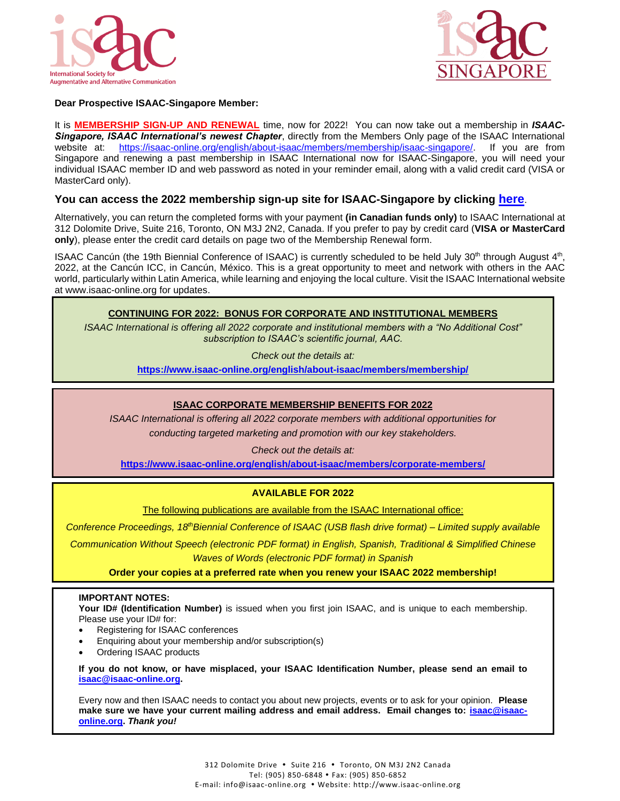



## **Dear Prospective ISAAC-Singapore Member:**

It is **MEMBERSHIP SIGN-UP AND RENEWAL** time, now for 2022! You can now take out a membership in *ISAAC-Singapore, ISAAC International's newest Chapter*, directly from the Members Only page of the ISAAC International website at: [https://isaac-online.org/english/about-isaac/members/membership/isaac-singapore/.](https://isaac-online.org/english/about-isaac/members/membership/isaac-singapore/) If you are from Singapore and renewing a past membership in ISAAC International now for ISAAC-Singapore, you will need your individual ISAAC member ID and web password as noted in your reminder email, along with a valid credit card (VISA or MasterCard only).

## **You can access the 2022 membership sign-up site for ISAAC-Singapore by clicking [here](https://isaac-online.org/english/about-isaac/members/membership/isaac-singapore/)**.

Alternatively, you can return the completed forms with your payment **(in Canadian funds only)** to ISAAC International at 312 Dolomite Drive, Suite 216, Toronto, ON M3J 2N2, Canada. If you prefer to pay by credit card (**VISA or MasterCard only**), please enter the credit card details on page two of the Membership Renewal form.

ISAAC Cancún (the 19th Biennial Conference of ISAAC) is currently scheduled to be held July 30<sup>th</sup> through August  $4<sup>th</sup>$ , 2022, at the Cancún ICC, in Cancún, México. This is a great opportunity to meet and network with others in the AAC world, particularly within Latin America, while learning and enjoying the local culture. Visit the ISAAC International website at www.isaac-online.org for updates.

## **CONTINUING FOR 2022: BONUS FOR CORPORATE AND INSTITUTIONAL MEMBERS**

*ISAAC International is offering all 2022 corporate and institutional members with a "No Additional Cost" subscription to ISAAC's scientific journal, AAC.*

*Check out the details at:*

**<https://www.isaac-online.org/english/about-isaac/members/membership/>**

## **ISAAC CORPORATE MEMBERSHIP BENEFITS FOR 2022**

*ISAAC International is offering all 2022 corporate members with additional opportunities for*

*conducting targeted marketing and promotion with our key stakeholders.*

*Check out the details at:*

**<https://www.isaac-online.org/english/about-isaac/members/corporate-members/>**

## **AVAILABLE FOR 2022**

The following publications are available from the ISAAC International office:

*Conference Proceedings, 18 thBiennial Conference of ISAAC (USB flash drive format) – Limited supply available*

*Communication Without Speech (electronic PDF format) in English, Spanish, Traditional & Simplified Chinese Waves of Words (electronic PDF format) in Spanish*

**Order your copies at a preferred rate when you renew your ISAAC 2022 membership!**

#### **IMPORTANT NOTES:**

**Your ID# (Identification Number)** is issued when you first join ISAAC, and is unique to each membership. Please use your ID# for:

- Registering for ISAAC conferences
- Enquiring about your membership and/or subscription(s)
- Ordering ISAAC products

**If you do not know, or have misplaced, your ISAAC Identification Number, please send an email to [isaac@isaac-online.org.](mailto:isaac@isaac-online.org)**

Every now and then ISAAC needs to contact you about new projects, events or to ask for your opinion. **Please make sure we have your current mailing address and email address. Email changes to: [isaac@isaac](mailto:isaac@isaac-online.org)[online.org.](mailto:isaac@isaac-online.org)** *Thank you!*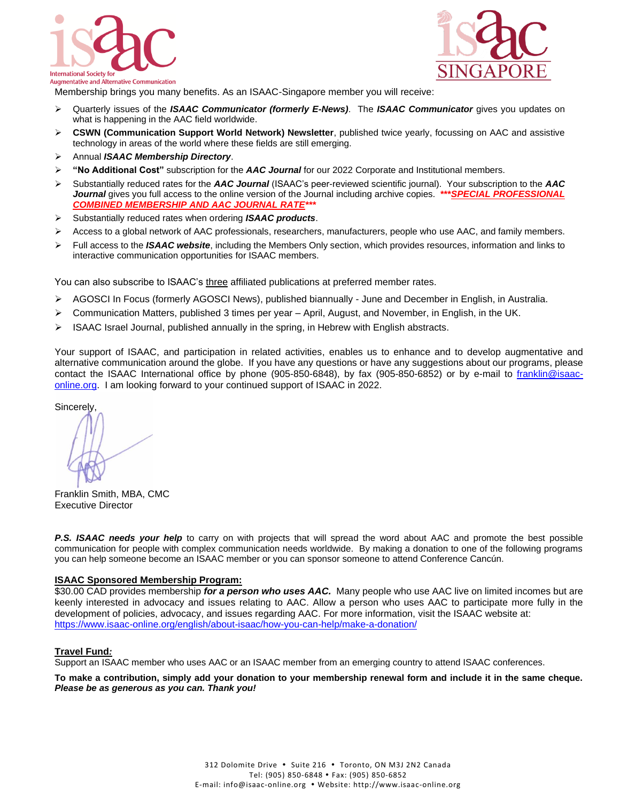



Membership brings you many benefits. As an ISAAC-Singapore member you will receive:

- ➢ Quarterly issues of the *ISAAC Communicator (formerly E-News)*. The *ISAAC Communicator* gives you updates on what is happening in the AAC field worldwide.
- ➢ **CSWN (Communication Support World Network) Newsletter**, published twice yearly, focussing on AAC and assistive technology in areas of the world where these fields are still emerging.
- ➢ Annual *ISAAC Membership Directory*.
- ➢ **"No Additional Cost"** subscription for the *AAC Journal* for our 2022 Corporate and Institutional members.
- ➢ Substantially reduced rates for the *AAC Journal* (ISAAC's peer-reviewed scientific journal). Your subscription to the *AAC Journal* gives you full access to the online version of the Journal including archive copies. **\*\*\****SPECIAL PROFESSIONAL COMBINED MEMBERSHIP AND AAC JOURNAL RATE\*\*\**
- ➢ Substantially reduced rates when ordering *ISAAC products*.
- $\triangleright$  Access to a global network of AAC professionals, researchers, manufacturers, people who use AAC, and family members.
- ➢ Full access to the *ISAAC website*, including the Members Only section, which provides resources, information and links to interactive communication opportunities for ISAAC members.

You can also subscribe to ISAAC's three affiliated publications at preferred member rates.

- ➢ AGOSCI In Focus (formerly AGOSCI News), published biannually June and December in English, in Australia.
- ➢ Communication Matters, published 3 times per year April, August, and November, in English, in the UK.
- $\triangleright$  ISAAC Israel Journal, published annually in the spring, in Hebrew with English abstracts.

Your support of ISAAC, and participation in related activities, enables us to enhance and to develop augmentative and alternative communication around the globe. If you have any questions or have any suggestions about our programs, please contact the ISAAC International office by phone (905-850-6848), by fax (905-850-6852) or by e-mail to [franklin@isaac](mailto:franklin@isaac-online.org)[online.org.](mailto:franklin@isaac-online.org) I am looking forward to your continued support of ISAAC in 2022.

**Sincerely** 

Franklin Smith, MBA, CMC Executive Director

**P.S. ISAAC needs your help** to carry on with projects that will spread the word about AAC and promote the best possible communication for people with complex communication needs worldwide. By making a donation to one of the following programs you can help someone become an ISAAC member or you can sponsor someone to attend Conference Cancún.

#### **ISAAC Sponsored Membership Program:**

\$30.00 CAD provides membership *for a person who uses AAC.* Many people who use AAC live on limited incomes but are keenly interested in advocacy and issues relating to AAC. Allow a person who uses AAC to participate more fully in the development of policies, advocacy, and issues regarding AAC. For more information, visit the ISAAC website at: <https://www.isaac-online.org/english/about-isaac/how-you-can-help/make-a-donation/>

#### **Travel Fund***:*

Support an ISAAC member who uses AAC or an ISAAC member from an emerging country to attend ISAAC conferences.

**To make a contribution, simply add your donation to your membership renewal form and include it in the same cheque.**  *Please be as generous as you can. Thank you!*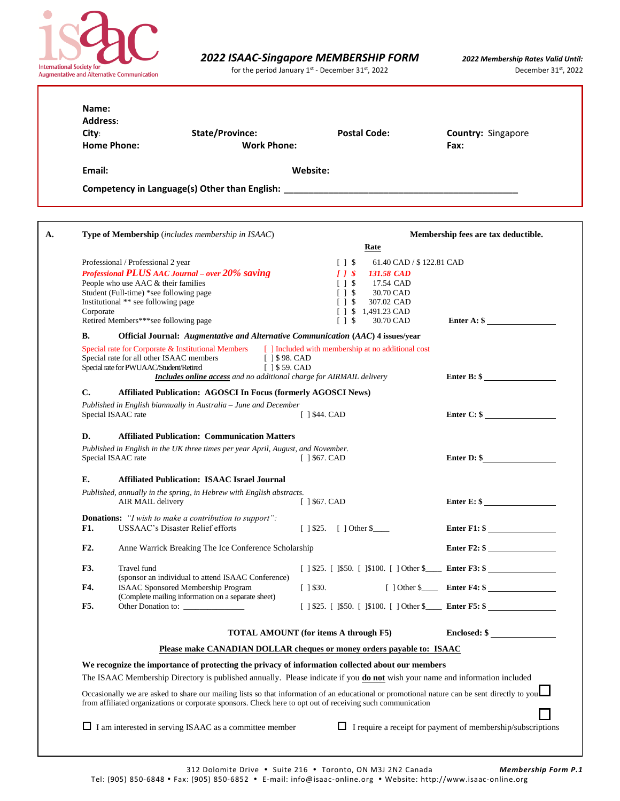

for the period January  $1^{st}$  - December 31<sup>st</sup>, 2022 **December 31st**, 2022

| City:<br><b>Home Phone:</b> |                                                                                                                                                                                                     | <b>State/Province:</b><br><b>Work Phone:</b>                                                                                                                    | <b>Postal Code:</b>                                                                                                                                                                                      | Country: Singapore<br>Fax:                                                                                                                   |
|-----------------------------|-----------------------------------------------------------------------------------------------------------------------------------------------------------------------------------------------------|-----------------------------------------------------------------------------------------------------------------------------------------------------------------|----------------------------------------------------------------------------------------------------------------------------------------------------------------------------------------------------------|----------------------------------------------------------------------------------------------------------------------------------------------|
| Email:                      |                                                                                                                                                                                                     |                                                                                                                                                                 | Website:                                                                                                                                                                                                 |                                                                                                                                              |
|                             |                                                                                                                                                                                                     |                                                                                                                                                                 |                                                                                                                                                                                                          |                                                                                                                                              |
|                             |                                                                                                                                                                                                     | <b>Type of Membership</b> (includes membership in ISAAC)                                                                                                        |                                                                                                                                                                                                          | Membership fees are tax deductible.                                                                                                          |
|                             |                                                                                                                                                                                                     |                                                                                                                                                                 | Rate                                                                                                                                                                                                     |                                                                                                                                              |
| Corporate                   | Professional / Professional 2 year<br>People who use AAC & their families<br>Student (Full-time) *see following page<br>Institutional ** see following page<br>Retired Members***see following page | Professional PLUS AAC Journal - over 20% saving                                                                                                                 | $[$ $]$ $$$<br>$11\$<br><b>131.58 CAD</b><br>$\lceil$ 1 \$<br>17.54 CAD<br>30.70 CAD<br>$\lceil$ 1 \$<br>$\lceil$ 1 $\lceil$<br>307.02 CAD<br>$\lceil$   \$ 1,491.23 CAD<br>$[]$ $\sqrt{3}$<br>30.70 CAD | 61.40 CAD / \$122.81 CAD<br>Enter $A:$ \$                                                                                                    |
| В.                          |                                                                                                                                                                                                     | <b>Official Journal:</b> Augmentative and Alternative Communication (AAC) 4 issues/year                                                                         |                                                                                                                                                                                                          |                                                                                                                                              |
|                             | Special rate for all other ISAAC members<br>Special rate for PWUAAC/Student/Retired                                                                                                                 | Special rate for Corporate & Institutional Members<br>[ ] \$98. CAD<br>$[$ 1 \$ 59. CAD<br>Includes online access and no additional charge for AIRMAIL delivery | [ ] Included with membership at no additional cost                                                                                                                                                       | Enter $B:$ \$                                                                                                                                |
| C.                          |                                                                                                                                                                                                     | <b>Affiliated Publication: AGOSCI In Focus (formerly AGOSCI News)</b>                                                                                           |                                                                                                                                                                                                          |                                                                                                                                              |
|                             | Special ISAAC rate                                                                                                                                                                                  | Published in English biannually in Australia - June and December                                                                                                | $[$ ] \$44. CAD                                                                                                                                                                                          | Enter C: \$                                                                                                                                  |
| D.                          |                                                                                                                                                                                                     | <b>Affiliated Publication: Communication Matters</b>                                                                                                            |                                                                                                                                                                                                          |                                                                                                                                              |
|                             | Special ISAAC rate                                                                                                                                                                                  | Published in English in the UK three times per year April, August, and November.                                                                                | $[$ 1\$67. CAD                                                                                                                                                                                           | Enter $D:$ \$                                                                                                                                |
| E.                          |                                                                                                                                                                                                     | <b>Affiliated Publication: ISAAC Israel Journal</b>                                                                                                             |                                                                                                                                                                                                          |                                                                                                                                              |
|                             | AIR MAIL delivery                                                                                                                                                                                   | Published, annually in the spring, in Hebrew with English abstracts.                                                                                            | $[$ 1 \$67. CAD                                                                                                                                                                                          | Enter $E:$ \$                                                                                                                                |
| <b>F1.</b>                  |                                                                                                                                                                                                     | <b>Donations:</b> "I wish to make a contribution to support":<br>USSAAC's Disaster Relief efforts                                                               | $[$ ] \$25. $[$ ] Other \$                                                                                                                                                                               | Enter $F1:$ \$                                                                                                                               |
| F2.                         |                                                                                                                                                                                                     | Anne Warrick Breaking The Ice Conference Scholarship                                                                                                            |                                                                                                                                                                                                          | Enter F2: \$                                                                                                                                 |
| F3.                         | Travel fund                                                                                                                                                                                         | (sponsor an individual to attend ISAAC Conference)                                                                                                              |                                                                                                                                                                                                          |                                                                                                                                              |
| F4.                         |                                                                                                                                                                                                     | <b>ISAAC</b> Sponsored Membership Program                                                                                                                       | $[ ]$ \$30.                                                                                                                                                                                              |                                                                                                                                              |
| F5.                         |                                                                                                                                                                                                     | (Complete mailing information on a separate sheet)<br>Other Donation to:                                                                                        |                                                                                                                                                                                                          |                                                                                                                                              |
|                             |                                                                                                                                                                                                     |                                                                                                                                                                 | <b>TOTAL AMOUNT</b> (for items A through F5)                                                                                                                                                             | Enclosed: \$                                                                                                                                 |
|                             |                                                                                                                                                                                                     | Please make CANADIAN DOLLAR cheques or money orders payable to: ISAAC                                                                                           |                                                                                                                                                                                                          |                                                                                                                                              |
|                             |                                                                                                                                                                                                     | We recognize the importance of protecting the privacy of information collected about our members                                                                |                                                                                                                                                                                                          |                                                                                                                                              |
|                             |                                                                                                                                                                                                     | The ISAAC Membership Directory is published annually. Please indicate if you <b>do not</b> wish your name and information included                              |                                                                                                                                                                                                          |                                                                                                                                              |
|                             |                                                                                                                                                                                                     | from affiliated organizations or corporate sponsors. Check here to opt out of receiving such communication                                                      |                                                                                                                                                                                                          | Occasionally we are asked to share our mailing lists so that information of an educational or promotional nature can be sent directly to you |

312 Dolomite Drive Suite 216 Toronto, ON M3J 2N2 Canada *Membership Form P.1* Tel: (905) 850-6848 Fax: (905) 850-6852 E-mail: info@isaac-online.org Website: http://www.isaac-online.org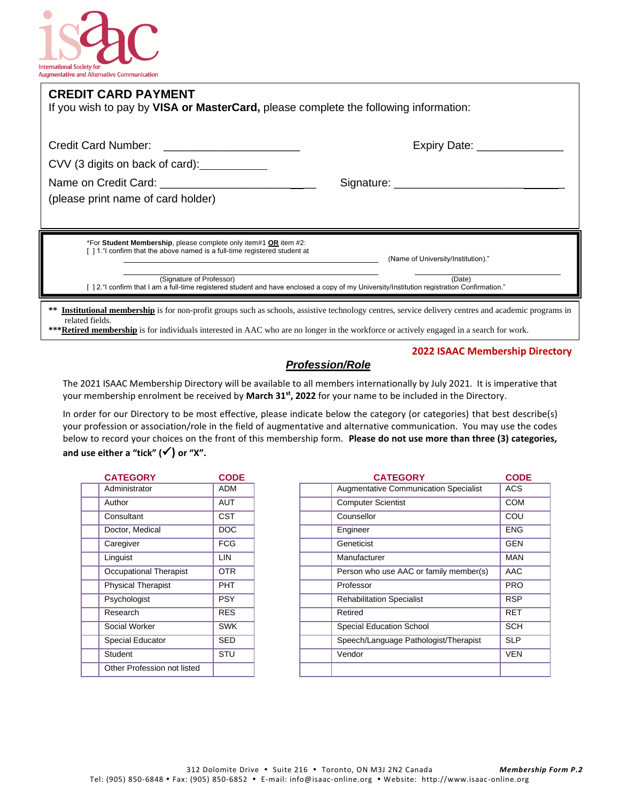

| <b>CREDIT CARD PAYMENT</b><br>If you wish to pay by VISA or MasterCard, please complete the following information:                                                           |                                    |
|------------------------------------------------------------------------------------------------------------------------------------------------------------------------------|------------------------------------|
|                                                                                                                                                                              | Expiry Date: __________            |
| CVV (3 digits on back of card):                                                                                                                                              |                                    |
|                                                                                                                                                                              |                                    |
| (please print name of card holder)                                                                                                                                           |                                    |
|                                                                                                                                                                              |                                    |
| *For Student Membership, please complete only item#1 OR item #2:<br>[1.1. evident of left in a loop based is a full-time registered student at                               | (Name of University/Institution)." |
| (Signature of Professor)<br>[12."] confirm that I am a full-time registered student and have enclosed a copy of my University/Institution registration Confirmation."        | (Date)                             |
| <b>Institutional membership</b> is for non-profit groups such as schools, assistive technology centres, service delivery centres and academic programs in<br>related fields. |                                    |

**\*\*\*Retired membership** is for individuals interested in AAC who are no longer in the workforce or actively engaged in a search for work.

## *Profession/Role*

#### **2022 ISAAC Membership Directory**

The 2021 ISAAC Membership Directory will be available to all members internationally by July 2021. It is imperative that your membership enrolment be received by **March 31st, 2022** for your name to be included in the Directory.

In order for our Directory to be most effective, please indicate below the category (or categories) that best describe(s) your profession or association/role in the field of augmentative and alternative communication. You may use the codes below to record your choices on the front of this membership form. **Please do not use more than three (3) categories, and use either a "tick" (**✓**) or "X".**

| <b>CATEGORY</b>               | <b>CODE</b> |
|-------------------------------|-------------|
| Administrator                 | <b>ADM</b>  |
| Author                        | <b>AUT</b>  |
| Consultant                    | <b>CST</b>  |
| Doctor, Medical               | <b>DOC</b>  |
| Caregiver                     | <b>FCG</b>  |
| Linguist                      | LIN         |
| <b>Occupational Therapist</b> | <b>OTR</b>  |
| <b>Physical Therapist</b>     | <b>PHT</b>  |
| Psychologist                  | <b>PSY</b>  |
| Research                      | <b>RES</b>  |
| Social Worker                 | <b>SWK</b>  |
| <b>Special Educator</b>       | <b>SED</b>  |
| Student                       | STU         |
| Other Profession not listed   |             |
|                               |             |

| <b>CATEGORY</b>               | <b>CODE</b> | <b>CATEGORY</b>                        | <b>CODE</b> |
|-------------------------------|-------------|----------------------------------------|-------------|
| Administrator                 | <b>ADM</b>  | Augmentative Communication Specialist  | <b>ACS</b>  |
| Author                        | AUT         | <b>Computer Scientist</b>              | <b>COM</b>  |
| Consultant                    | <b>CST</b>  | Counsellor                             | COU         |
| Doctor, Medical               | <b>DOC</b>  | Engineer                               | <b>ENG</b>  |
| Caregiver                     | <b>FCG</b>  | Geneticist                             | <b>GEN</b>  |
| Linguist                      | LIN         | Manufacturer                           | <b>MAN</b>  |
| <b>Occupational Therapist</b> | <b>OTR</b>  | Person who use AAC or family member(s) | AAC         |
| <b>Physical Therapist</b>     | PHT         | Professor                              | <b>PRO</b>  |
| Psychologist                  | <b>PSY</b>  | <b>Rehabilitation Specialist</b>       | <b>RSP</b>  |
| Research                      | <b>RES</b>  | Retired                                | <b>RET</b>  |
| Social Worker                 | <b>SWK</b>  | <b>Special Education School</b>        | <b>SCH</b>  |
| Special Educator              | <b>SED</b>  | Speech/Language Pathologist/Therapist  | <b>SLP</b>  |
| Student                       | STU         | Vendor                                 | <b>VEN</b>  |
| Other Profession not listed   |             |                                        |             |